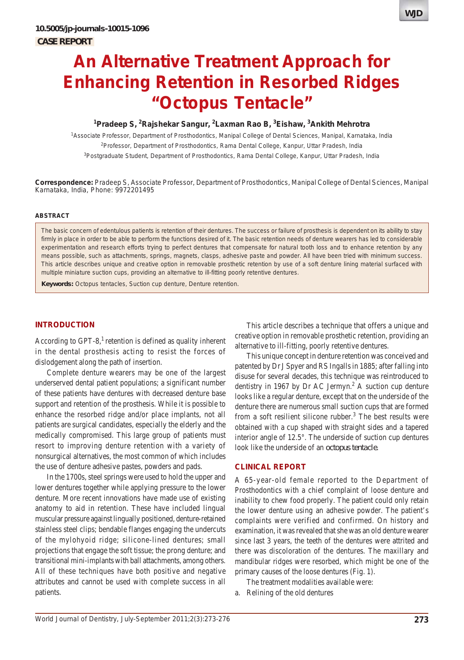

## **1 Pradeep S, 2 Rajshekar Sangur, 2 Laxman Rao B, 3 Eishaw, 3 Ankith Mehrotra**

1 Associate Professor, Department of Prosthodontics, Manipal College of Dental Sciences, Manipal, Karnataka, India <sup>2</sup>Professor, Department of Prosthodontics, Rama Dental College, Kanpur, Uttar Pradesh, India <sup>3</sup>Postgraduate Student, Department of Prosthodontics, Rama Dental College, Kanpur, Uttar Pradesh, India

**Correspondence:** Pradeep S, Associate Professor, Department of Prosthodontics, Manipal College of Dental Sciences, Manipal Karnataka, India, Phone: 9972201495

#### **ABSTRACT**

The basic concern of edentulous patients is retention of their dentures. The success or failure of prosthesis is dependent on its ability to stay firmly in place in order to be able to perform the functions desired of it. The basic retention needs of denture wearers has led to considerable experimentation and research efforts trying to perfect dentures that compensate for natural tooth loss and to enhance retention by any means possible, such as attachments, springs, magnets, clasps, adhesive paste and powder. All have been tried with minimum success. This article describes unique and creative option in removable prosthetic retention by use of a soft denture lining material surfaced with multiple miniature suction cups, providing an alternative to ill-fitting poorly retentive dentures.

**Keywords:** Octopus tentacles, Suction cup denture, Denture retention.

#### **INTRODUCTION**

According to GPT-8, $^1$  retention is defined as quality inherent in the dental prosthesis acting to resist the forces of dislodgement along the path of insertion.

Complete denture wearers may be one of the largest underserved dental patient populations; a significant number of these patients have dentures with decreased denture base support and retention of the prosthesis. While it is possible to enhance the resorbed ridge and/or place implants, not all patients are surgical candidates, especially the elderly and the medically compromised. This large group of patients must resort to improving denture retention with a variety of nonsurgical alternatives, the most common of which includes the use of denture adhesive pastes, powders and pads.

In the 1700s, steel springs were used to hold the upper and lower dentures together while applying pressure to the lower denture. More recent innovations have made use of existing anatomy to aid in retention. These have included lingual muscular pressure against lingually positioned, denture-retained stainless steel clips; bendable flanges engaging the undercuts of the mylohyoid ridge; silicone-lined dentures; small projections that engage the soft tissue; the prong denture; and transitional mini-implants with ball attachments, among others. All of these techniques have both positive and negative attributes and cannot be used with complete success in all patients.

This article describes a technique that offers a unique and creative option in removable prosthetic retention, providing an alternative to ill-fitting, poorly retentive dentures.

This unique concept in denture retention was conceived and patented by Dr J Spyer and RS Ingalls in 1885; after falling into disuse for several decades, this technique was reintroduced to dentistry in 1967 by Dr AC Jermyn.<sup>2</sup> A suction cup denture looks like a regular denture, except that on the underside of the denture there are numerous small suction cups that are formed from a soft resilient silicone rubber.<sup>3</sup> The best results were obtained with a cup shaped with straight sides and a tapered interior angle of 12.5°. The underside of suction cup dentures look like the underside of an *octopus tentacle*.

# **CLINICAL REPORT**

A 65-year-old female reported to the Department of Prosthodontics with a chief complaint of loose denture and inability to chew food properly. The patient could only retain the lower denture using an adhesive powder. The patient's complaints were verified and confirmed. On history and examination, it was revealed that she was an old denture wearer since last 3 years, the teeth of the dentures were attrited and there was discoloration of the dentures. The maxillary and mandibular ridges were resorbed, which might be one of the primary causes of the loose dentures (Fig. 1).

The treatment modalities available were:

a. Relining of the old dentures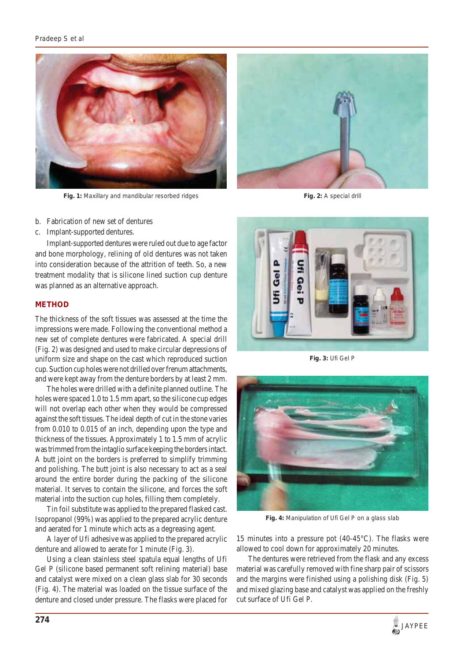## *Pradeep S et al*



**Fig. 1:** Maxillary and mandibular resorbed ridges **Fig. 2:** A special drill



- b. Fabrication of new set of dentures
- c. Implant-supported dentures.

Implant-supported dentures were ruled out due to age factor and bone morphology, relining of old dentures was not taken into consideration because of the attrition of teeth. So, a new treatment modality that is silicone lined suction cup denture was planned as an alternative approach.

#### **METHOD**

The thickness of the soft tissues was assessed at the time the impressions were made. Following the conventional method a new set of complete dentures were fabricated. A special drill (Fig. 2) was designed and used to make circular depressions of uniform size and shape on the cast which reproduced suction cup. Suction cup holes were not drilled over frenum attachments, and were kept away from the denture borders by at least 2 mm.

The holes were drilled with a definite planned outline. The holes were spaced 1.0 to 1.5 mm apart, so the silicone cup edges will not overlap each other when they would be compressed against the soft tissues. The ideal depth of cut in the stone varies from 0.010 to 0.015 of an inch, depending upon the type and thickness of the tissues. Approximately 1 to 1.5 mm of acrylic was trimmed from the intaglio surface keeping the borders intact. A butt joint on the borders is preferred to simplify trimming and polishing. The butt joint is also necessary to act as a seal around the entire border during the packing of the silicone material. It serves to contain the silicone, and forces the soft material into the suction cup holes, filling them completely.

Tin foil substitute was applied to the prepared flasked cast. Isopropanol (99%) was applied to the prepared acrylic denture and aerated for 1 minute which acts as a degreasing agent.

A layer of Ufi adhesive was applied to the prepared acrylic denture and allowed to aerate for 1 minute (Fig. 3).

Using a clean stainless steel spatula equal lengths of Ufi Gel P (silicone based permanent soft relining material) base and catalyst were mixed on a clean glass slab for 30 seconds (Fig. 4). The material was loaded on the tissue surface of the denture and closed under pressure. The flasks were placed for



**Fig. 3:** Ufi Gel P



**Fig. 4:** Manipulation of Ufi Gel P on a glass slab

15 minutes into a pressure pot (40-45°C). The flasks were allowed to cool down for approximately 20 minutes.

The dentures were retrieved from the flask and any excess material was carefully removed with fine sharp pair of scissors and the margins were finished using a polishing disk (Fig. 5) and mixed glazing base and catalyst was applied on the freshly cut surface of Ufi Gel P.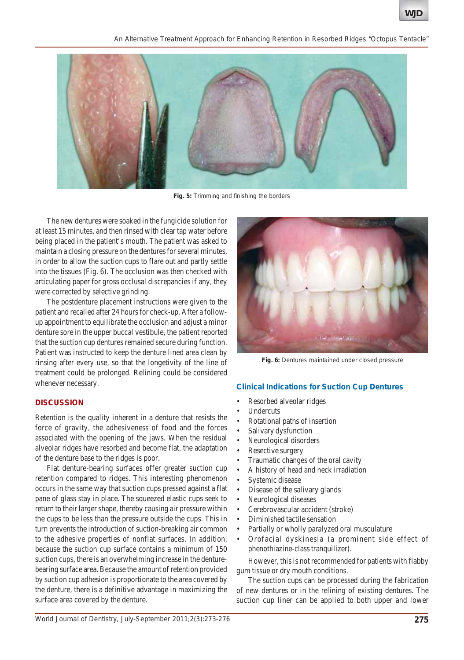*An Alternative Treatment Approach for Enhancing Retention in Resorbed Ridges "Octopus Tentacle"*



**Fig. 5:** Trimming and finishing the borders

The new dentures were soaked in the fungicide solution for at least 15 minutes, and then rinsed with clear tap water before being placed in the patient's mouth. The patient was asked to maintain a closing pressure on the dentures for several minutes, in order to allow the suction cups to flare out and partly settle into the tissues (Fig. 6). The occlusion was then checked with articulating paper for gross occlusal discrepancies if any, they were corrected by selective grinding.

The postdenture placement instructions were given to the patient and recalled after 24 hours for check-up. After a followup appointment to equilibrate the occlusion and adjust a minor denture sore in the upper buccal vestibule, the patient reported that the suction cup dentures remained secure during function. Patient was instructed to keep the denture lined area clean by rinsing after every use, so that the longetivity of the line of treatment could be prolonged. Relining could be considered whenever necessary.

#### **DISCUSSION**

Retention is the quality inherent in a denture that resists the force of gravity, the adhesiveness of food and the forces associated with the opening of the jaws. When the residual alveolar ridges have resorbed and become flat, the adaptation of the denture base to the ridges is poor.

Flat denture-bearing surfaces offer greater suction cup retention compared to ridges. This interesting phenomenon occurs in the same way that suction cups pressed against a flat pane of glass stay in place. The squeezed elastic cups seek to return to their larger shape, thereby causing air pressure within the cups to be less than the pressure outside the cups. This in turn prevents the introduction of suction-breaking air common to the adhesive properties of nonflat surfaces. In addition, because the suction cup surface contains a minimum of 150 suction cups, there is an overwhelming increase in the denturebearing surface area. Because the amount of retention provided by suction cup adhesion is proportionate to the area covered by the denture, there is a definitive advantage in maximizing the surface area covered by the denture.



**Fig. 6:** Dentures maintained under closed pressure

#### **Clinical Indications for Suction Cup Dentures**

- Resorbed alveolar ridges
- **Undercuts**
- Rotational paths of insertion
- Salivary dysfunction
- Neurological disorders
- Resective surgery
- Traumatic changes of the oral cavity
- A history of head and neck irradiation
- Systemic disease
- Disease of the salivary glands
- Neurological diseases
- Cerebrovascular accident (stroke)
- Diminished tactile sensation
- Partially or wholly paralyzed oral musculature
- Orofacial dyskinesia (a prominent side effect of phenothiazine-class tranquilizer).

However, this is not recommended for patients with flabby gum tissue or dry mouth conditions.

The suction cups can be processed during the fabrication of new dentures or in the relining of existing dentures. The suction cup liner can be applied to both upper and lower